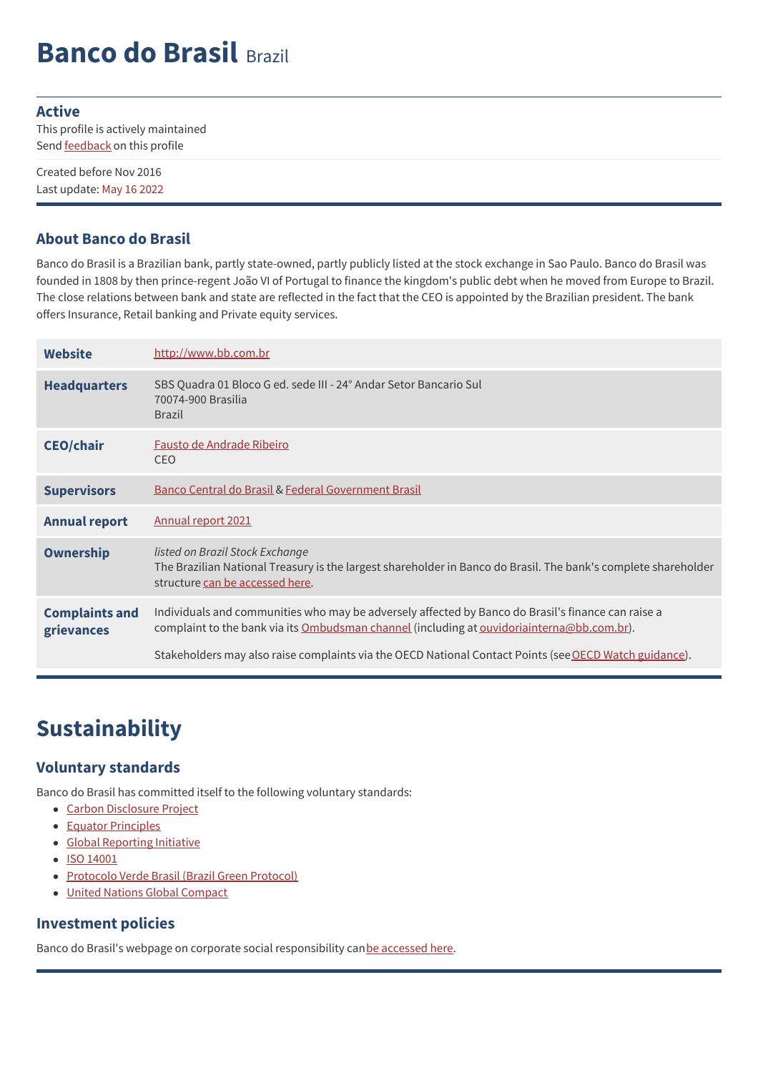# **Banco do Brasil** Brazil

#### **Active**

This profile is actively maintained Send **[feedback](https://www.banktrack.org/feedback/bankprofile/banco_do_brasil)** on this profile

Created before Nov 2016 Last update: May 16 2022

#### **About Banco do Brasil**

Banco do Brasil is a Brazilian bank, partly state-owned, partly publicly listed at the stock exchange in Sao Paulo. Banco do Brasil was founded in 1808 by then prince-regent João VI of Portugal to finance the kingdom's public debt when he moved from Europe to Brazil. The close relations between bank and state are reflected in the fact that the CEO is appointed by the Brazilian president. The bank offers Insurance, Retail banking and Private equity services.

| <b>Website</b>                      | http://www.bb.com.br                                                                                                                                                                             |
|-------------------------------------|--------------------------------------------------------------------------------------------------------------------------------------------------------------------------------------------------|
| <b>Headquarters</b>                 | SBS Quadra 01 Bloco G ed. sede III - 24° Andar Setor Bancario Sul<br>70074-900 Brasilia<br><b>Brazil</b>                                                                                         |
| <b>CEO/chair</b>                    | Fausto de Andrade Ribeiro<br><b>CEO</b>                                                                                                                                                          |
| <b>Supervisors</b>                  | Banco Central do Brasil & Federal Government Brasil                                                                                                                                              |
| <b>Annual report</b>                | Annual report 2021                                                                                                                                                                               |
| <b>Ownership</b>                    | listed on Brazil Stock Exchange<br>The Brazilian National Treasury is the largest shareholder in Banco do Brasil. The bank's complete shareholder<br>structure can be accessed here.             |
| <b>Complaints and</b><br>grievances | Individuals and communities who may be adversely affected by Banco do Brasil's finance can raise a<br>complaint to the bank via its Ombudsman channel (including at ouvidoriainterna@bb.com.br). |
|                                     | Stakeholders may also raise complaints via the OECD National Contact Points (see OECD Watch guidance).                                                                                           |

### **Sustainability**

#### **Voluntary standards**

Banco do Brasil has committed itself to the following voluntary standards:

- Carbon [Disclosure](https://www.cdp.net/en-US/Pages/HomePage.aspx) Project
- Equator [Principles](http://www.equator-principles.com)
- Global [Reporting](http://www.globalreporting.org) Initiative
- ISO [14001](http://www.iso.org/iso/iso_catalogue/management_standards/iso_9000_iso_14000/iso_14000_essentials.htm)
- [Protocolo](http://www.bndes.gov.br/SiteBNDES/export/sites/default/bndes_pt/Galerias/Arquivos/empresa/download/ProtocoloVerde.pdf) Verde Brasil (Brazil Green Protocol)
- United Nations Global [Compact](http://www.unglobalcompact.org/)

#### **Investment policies**

Banco do Brasil's webpage on corporate social responsibility canbe [accessed](https://ri.bb.com.br/en/corporate-governance-and-sustainability/sustainability/) here.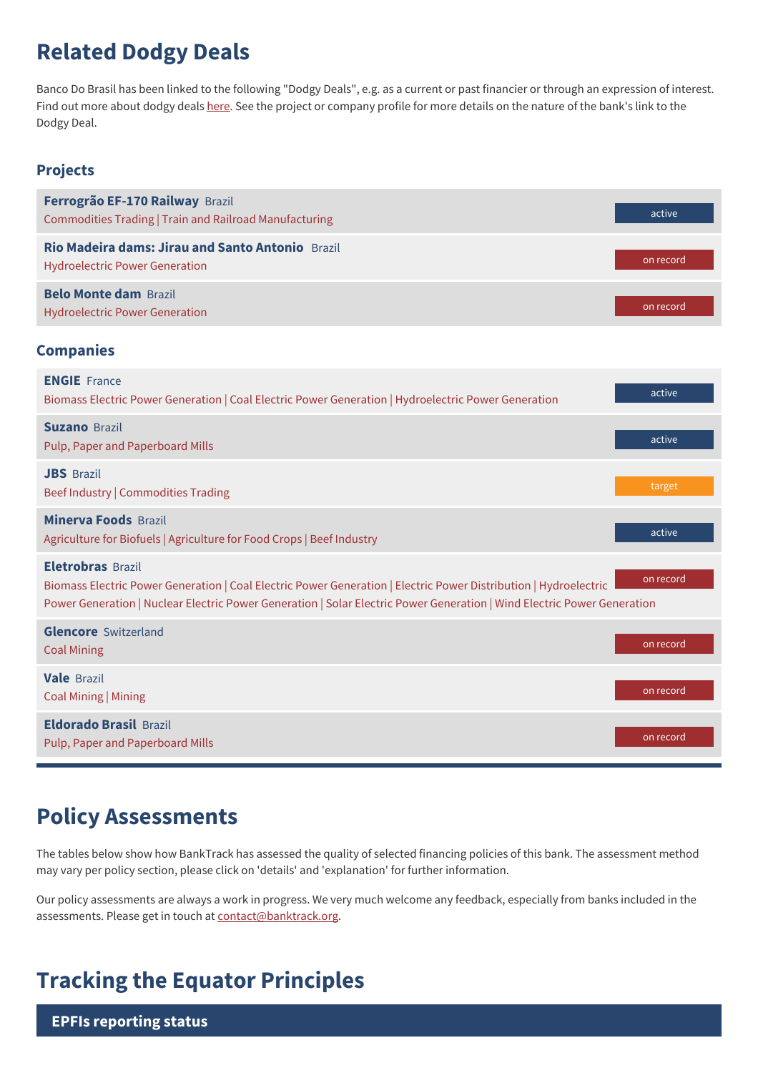### **Related Dodgy Deals**

Banco Do Brasil has been linked to the following "Dodgy Deals", e.g. as a current or past financier or through an expression of interest. Find out more about dodgy deals [here](https://www.banktrack.org/show/page/what_are_dodgy_deals). See the project or company profile for more details on the nature of the bank's link to the Dodgy Deal.

#### **Projects**

| Ferrogrão EF-170 Railway Brazil<br>Commodities Trading   Train and Railroad Manufacturing | active    |
|-------------------------------------------------------------------------------------------|-----------|
| Rio Madeira dams: Jirau and Santo Antonio Brazil<br><b>Hydroelectric Power Generation</b> | on record |
| <b>Belo Monte dam Brazil</b><br><b>Hydroelectric Power Generation</b>                     | on record |

#### **Companies**

| <b>ENGIE</b> France<br>Biomass Electric Power Generation   Coal Electric Power Generation   Hydroelectric Power Generation                                                                                                                                              | active    |
|-------------------------------------------------------------------------------------------------------------------------------------------------------------------------------------------------------------------------------------------------------------------------|-----------|
| <b>Suzano Brazil</b><br>Pulp, Paper and Paperboard Mills                                                                                                                                                                                                                | active    |
| <b>JBS</b> Brazil<br>Beef Industry   Commodities Trading                                                                                                                                                                                                                | target    |
| <b>Minerva Foods Brazil</b><br>Agriculture for Biofuels   Agriculture for Food Crops   Beef Industry                                                                                                                                                                    | active    |
| <b>Eletrobras Brazil</b><br>Biomass Electric Power Generation   Coal Electric Power Generation   Electric Power Distribution   Hydroelectric<br>Power Generation   Nuclear Electric Power Generation   Solar Electric Power Generation   Wind Electric Power Generation | on record |
| <b>Glencore</b> Switzerland<br><b>Coal Mining</b>                                                                                                                                                                                                                       | on record |
| <b>Vale</b> Brazil<br>Coal Mining   Mining                                                                                                                                                                                                                              | on record |
| <b>Eldorado Brasil Brazil</b><br>Pulp, Paper and Paperboard Mills                                                                                                                                                                                                       | on record |

### **Policy Assessments**

The tables below show how BankTrack has assessed the quality of selected financing policies of this bank. The assessment method may vary per policy section, please click on 'details' and 'explanation' for further information.

Our policy assessments are always a work in progress. We very much welcome any feedback, especially from banks included in the assessments. Please get in touch at [contact@banktrack.org](mailto:climate@banktrack.org).

### **Tracking the Equator Principles**

**EPFIs reporting status**